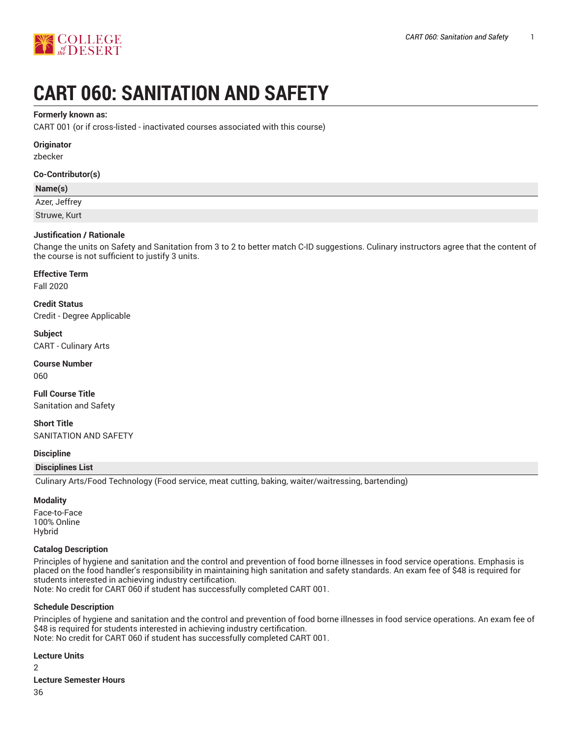



# **CART 060: SANITATION AND SAFETY**

#### **Formerly known as:**

CART 001 (or if cross-listed - inactivated courses associated with this course)

#### **Originator**

zbecker

#### **Co-Contributor(s)**

#### **Name(s)**

Azer, Jeffrey Struwe, Kurt

#### **Justification / Rationale**

Change the units on Safety and Sanitation from 3 to 2 to better match C-ID suggestions. Culinary instructors agree that the content of the course is not sufficient to justify 3 units.

#### **Effective Term**

Fall 2020

**Credit Status** Credit - Degree Applicable

**Subject** CART - Culinary Arts

**Course Number** 060

**Full Course Title** Sanitation and Safety

**Short Title** SANITATION AND SAFETY

#### **Discipline**

#### **Disciplines List**

Culinary Arts/Food Technology (Food service, meat cutting, baking, waiter/waitressing, bartending)

#### **Modality**

Face-to-Face 100% Online Hybrid

#### **Catalog Description**

Principles of hygiene and sanitation and the control and prevention of food borne illnesses in food service operations. Emphasis is placed on the food handler's responsibility in maintaining high sanitation and safety standards. An exam fee of \$48 is required for students interested in achieving industry certification. Note: No credit for CART 060 if student has successfully completed CART 001.

#### **Schedule Description**

Principles of hygiene and sanitation and the control and prevention of food borne illnesses in food service operations. An exam fee of \$48 is required for students interested in achieving industry certification. Note: No credit for CART 060 if student has successfully completed CART 001.

**Lecture Units**

 $\mathcal{L}$ 

#### **Lecture Semester Hours**

36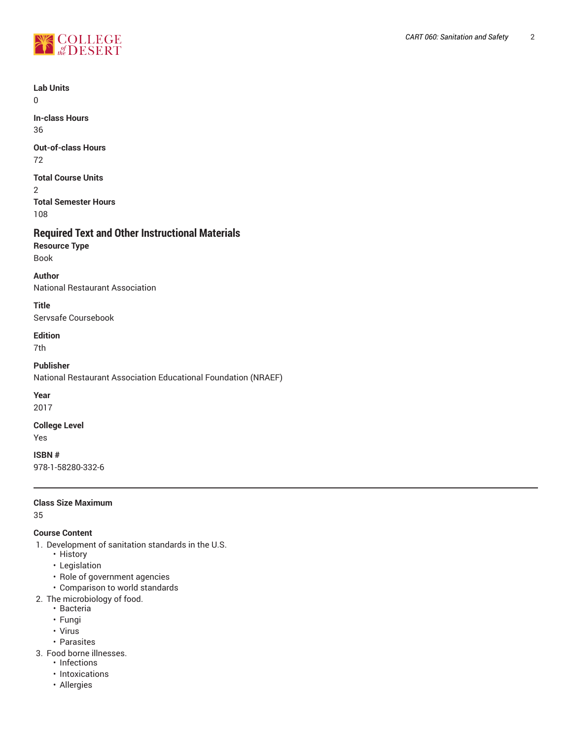

**Lab Units**

 $\Omega$ 

**In-class Hours** 36

**Out-of-class Hours** 72

**Total Course Units**

2 **Total Semester Hours**

108

## **Required Text and Other Instructional Materials**

**Resource Type** Book

**Author**

National Restaurant Association

**Title** Servsafe Coursebook

**Edition**

7th

**Publisher**

National Restaurant Association Educational Foundation (NRAEF)

**Year**

2017

## **College Level**

Yes

**ISBN #** 978-1-58280-332-6

#### **Class Size Maximum**

35

## **Course Content**

- 1. Development of sanitation standards in the U.S.
	- History
	- Legislation
	- Role of government agencies
	- Comparison to world standards
- 2. The microbiology of food.
	- Bacteria
	- Fungi
	- Virus
	- Parasites
- 3. Food borne illnesses.
	- Infections
	- Intoxications
	- Allergies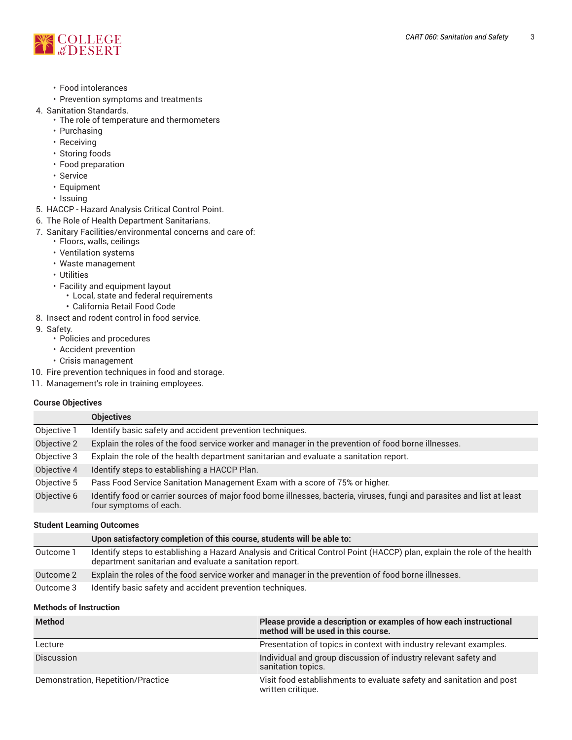

- Food intolerances
- Prevention symptoms and treatments
- 4. Sanitation Standards.
	- The role of temperature and thermometers
		- Purchasing
		- Receiving
		- Storing foods
		- Food preparation
		- Service
		- Equipment
	- Issuing
- 5. HACCP Hazard Analysis Critical Control Point.
- 6. The Role of Health Department Sanitarians.
- 7. Sanitary Facilities/environmental concerns and care of:
	- Floors, walls, ceilings
		- Ventilation systems
		- Waste management
		- Utilities
		- Facility and equipment layout
			- Local, state and federal requirements
	- California Retail Food Code
- 8. Insect and rodent control in food service.
- 9. Safety.
	- Policies and procedures
	- Accident prevention
	- Crisis management
- 10. Fire prevention techniques in food and storage.
- 11. Management's role in training employees.

#### **Course Objectives**

|             | <b>Objectives</b>                                                                                                                                  |
|-------------|----------------------------------------------------------------------------------------------------------------------------------------------------|
| Objective 1 | Identify basic safety and accident prevention techniques.                                                                                          |
| Objective 2 | Explain the roles of the food service worker and manager in the prevention of food borne illnesses.                                                |
| Objective 3 | Explain the role of the health department sanitarian and evaluate a sanitation report.                                                             |
| Objective 4 | Identify steps to establishing a HACCP Plan.                                                                                                       |
| Objective 5 | Pass Food Service Sanitation Management Exam with a score of 75% or higher.                                                                        |
| Objective 6 | Identify food or carrier sources of major food borne illnesses, bacteria, viruses, fungi and parasites and list at least<br>four symptoms of each. |

#### **Student Learning Outcomes**

|           | Upon satisfactory completion of this course, students will be able to:                                                                                                              |
|-----------|-------------------------------------------------------------------------------------------------------------------------------------------------------------------------------------|
| Outcome 1 | Identify steps to establishing a Hazard Analysis and Critical Control Point (HACCP) plan, explain the role of the health<br>department sanitarian and evaluate a sanitation report. |
| Outcome 2 | Explain the roles of the food service worker and manager in the prevention of food borne illnesses.                                                                                 |
| Outcome 3 | Identify basic safety and accident prevention techniques.                                                                                                                           |

#### **Methods of Instruction**

| <b>Method</b>                      | Please provide a description or examples of how each instructional<br>method will be used in this course. |
|------------------------------------|-----------------------------------------------------------------------------------------------------------|
| Lecture                            | Presentation of topics in context with industry relevant examples.                                        |
| <b>Discussion</b>                  | Individual and group discussion of industry relevant safety and<br>sanitation topics.                     |
| Demonstration, Repetition/Practice | Visit food establishments to evaluate safety and sanitation and post<br>written critique.                 |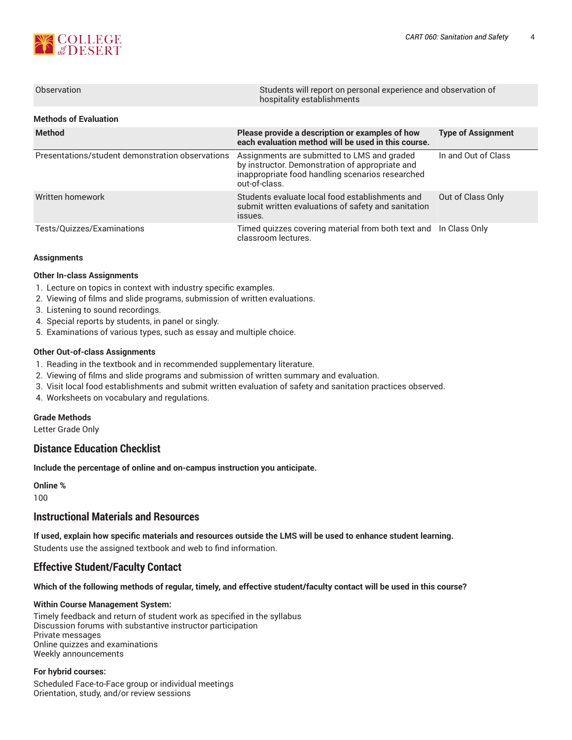

| Observation           | Students will report on personal experience and observation of<br>hospitality establishments |
|-----------------------|----------------------------------------------------------------------------------------------|
| Methods of Evaluation |                                                                                              |

| <b>Method</b>                                    | Please provide a description or examples of how<br>each evaluation method will be used in this course.                                                              | <b>Type of Assignment</b> |
|--------------------------------------------------|---------------------------------------------------------------------------------------------------------------------------------------------------------------------|---------------------------|
| Presentations/student demonstration observations | Assignments are submitted to LMS and graded<br>by instructor. Demonstration of appropriate and<br>inappropriate food handling scenarios researched<br>out-of-class. | In and Out of Class       |
| Written homework                                 | Students evaluate local food establishments and<br>submit written evaluations of safety and sanitation<br>ISSUES.                                                   | Out of Class Only         |
| Tests/Quizzes/Examinations                       | Timed quizzes covering material from both text and In Class Only<br>classroom lectures.                                                                             |                           |

#### **Assignments**

#### **Other In-class Assignments**

- 1. Lecture on topics in context with industry specific examples.
- 2. Viewing of films and slide programs, submission of written evaluations.
- 3. Listening to sound recordings.
- 4. Special reports by students, in panel or singly.
- 5. Examinations of various types, such as essay and multiple choice.

#### **Other Out-of-class Assignments**

- 1. Reading in the textbook and in recommended supplementary literature.
- 2. Viewing of films and slide programs and submission of written summary and evaluation.
- 3. Visit local food establishments and submit written evaluation of safety and sanitation practices observed.
- 4. Worksheets on vocabulary and regulations.

## **Grade Methods**

Letter Grade Only

## **Distance Education Checklist**

**Include the percentage of online and on-campus instruction you anticipate.**

**Online %**

100

## **Instructional Materials and Resources**

**If used, explain how specific materials and resources outside the LMS will be used to enhance student learning.** Students use the assigned textbook and web to find information.

## **Effective Student/Faculty Contact**

Which of the following methods of regular, timely, and effective student/faculty contact will be used in this course?

#### **Within Course Management System:**

Timely feedback and return of student work as specified in the syllabus Discussion forums with substantive instructor participation Private messages Online quizzes and examinations Weekly announcements

#### **For hybrid courses:**

Scheduled Face-to-Face group or individual meetings Orientation, study, and/or review sessions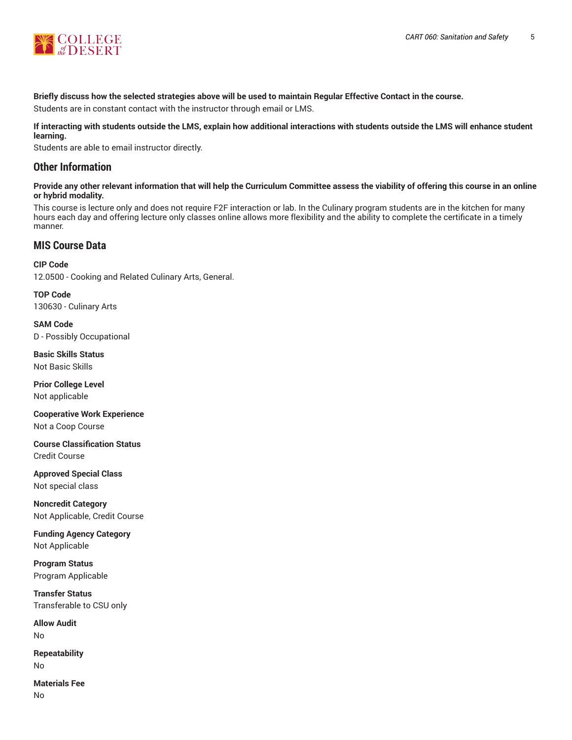

## Briefly discuss how the selected strategies above will be used to maintain Regular Effective Contact in the course.

Students are in constant contact with the instructor through email or LMS.

#### **If interacting with students outside the LMS, explain how additional interactions with students outside the LMS will enhance student learning.**

Students are able to email instructor directly.

## **Other Information**

Provide any other relevant information that will help the Curriculum Committee assess the viability of offering this course in an online **or hybrid modality.**

This course is lecture only and does not require F2F interaction or lab. In the Culinary program students are in the kitchen for many hours each day and offering lecture only classes online allows more flexibility and the ability to complete the certificate in a timely manner.

## **MIS Course Data**

**CIP Code** 12.0500 - Cooking and Related Culinary Arts, General.

**TOP Code** 130630 - Culinary Arts

**SAM Code** D - Possibly Occupational

**Basic Skills Status** Not Basic Skills

**Prior College Level** Not applicable

**Cooperative Work Experience** Not a Coop Course

**Course Classification Status** Credit Course

**Approved Special Class** Not special class

**Noncredit Category** Not Applicable, Credit Course

**Funding Agency Category** Not Applicable

**Program Status** Program Applicable

**Transfer Status** Transferable to CSU only

**Allow Audit** No

**Repeatability** No

**Materials Fee** No